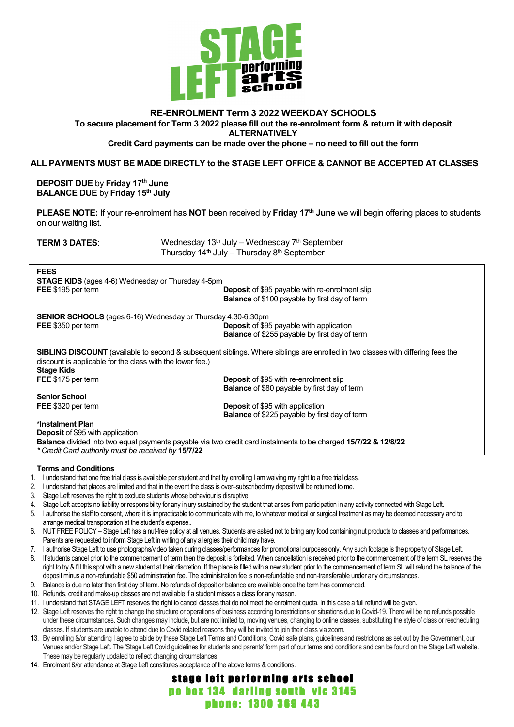

# **RE-ENROLMENT Term 3 2022 WEEKDAY SCHOOLS To secure placement for Term 3 2022 please fill out the re-enrolment form & return it with deposit ALTERNATIVELY**

### **Credit Card payments can be made over the phone – no need to fill out the form**

### **ALL PAYMENTS MUST BE MADE DIRECTLY to the STAGE LEFT OFFICE & CANNOT BE ACCEPTED AT CLASSES**

**DEPOSIT DUE** by **Friday 17th June BALANCE DUE** by **Friday 15th July**

**PLEASE NOTE:** If your re-enrolment has **NOT** been received by **Friday 17th June** we will begin offering places to students on our waiting list.

| <b>TERM 3 DATES:</b><br>Wednesday 13 <sup>th</sup> July – Wednesday 7 <sup>th</sup> September |                                                                                                                                        |  |  |  |
|-----------------------------------------------------------------------------------------------|----------------------------------------------------------------------------------------------------------------------------------------|--|--|--|
| Thursday 14 <sup>th</sup> July – Thursday 8 <sup>th</sup> September                           |                                                                                                                                        |  |  |  |
| <b>FEES</b>                                                                                   |                                                                                                                                        |  |  |  |
| <b>STAGE KIDS</b> (ages 4-6) Wednesday or Thursday 4-5pm                                      |                                                                                                                                        |  |  |  |
| FEE \$195 per term                                                                            | <b>Deposit</b> of \$95 payable with re-enrolment slip                                                                                  |  |  |  |
|                                                                                               | <b>Balance</b> of \$100 payable by first day of term                                                                                   |  |  |  |
| <b>SENIOR SCHOOLS</b> (ages 6-16) Wednesday or Thursday 4.30-6.30pm                           |                                                                                                                                        |  |  |  |
| FEE \$350 per term                                                                            | <b>Deposit</b> of \$95 payable with application                                                                                        |  |  |  |
|                                                                                               | Balance of \$255 payable by first day of term                                                                                          |  |  |  |
| discount is applicable for the class with the lower fee.)<br><b>Stage Kids</b>                | <b>SIBLING DISCOUNT</b> (available to second & subsequent siblings. Where siblings are enrolled in two classes with differing fees the |  |  |  |
| FEE \$175 per term                                                                            | <b>Deposit</b> of \$95 with re-enrolment slip                                                                                          |  |  |  |
|                                                                                               | <b>Balance</b> of \$80 payable by first day of term                                                                                    |  |  |  |
| <b>Senior School</b>                                                                          |                                                                                                                                        |  |  |  |
| FEE \$320 per term                                                                            | <b>Deposit of \$95 with application</b>                                                                                                |  |  |  |
|                                                                                               | <b>Balance</b> of \$225 payable by first day of term                                                                                   |  |  |  |
| *Instalment Plan                                                                              |                                                                                                                                        |  |  |  |
| <b>Deposit</b> of \$95 with application                                                       |                                                                                                                                        |  |  |  |
|                                                                                               | Balance divided into two equal payments payable via two credit card instalments to be charged 15/7/22 & 12/8/22                        |  |  |  |
| * Credit Card authority must be received by 15/7/22                                           |                                                                                                                                        |  |  |  |
|                                                                                               |                                                                                                                                        |  |  |  |

### **Terms and Conditions**

- 1. I understand that one free trial class is available per student and that by enrolling I am waiving my right to a free trial class.
- 2. I understand that places are limited and that in the event the class is over–subscribed my deposit will be returned to me.
- 3. Stage Left reserves the right to exclude students whose behaviour is disruptive.
- 
- 4. Stage Left accepts no liability or responsibility for any injury sustained by the student that arises from participation in any activity connected with Stage Left.<br>5. I authorise the staff to consent, where it is imprac I authorise the staff to consent, where it is impracticable to communicate with me, to whatever medical or surgical treatment as may be deemed necessary and to arrange medical transportation at the student's expense..
- 6. NUT FREE POLICY Stage Left has a nut-free policy at all venues. Students are asked not to bring any food containing nut products to classes and performances. Parents are requested to inform Stage Left in writing of any allergies their child may have.
- 7. I authorise Stage Left to use photographs/video taken during classes/performances for promotional purposes only. Any such footage is the property of Stage Left.
- 8. If students cancel prior to the commencement of term then the deposit is forfeited. When cancellation is received prior to the commencement of the term SL reserves the right to try & fill this spot with a new student at their discretion. If the place is filled with a new student prior to the commencement of term SL will refund the balance of the deposit minus a non-refundable \$50 administration fee. The administration fee is non-refundable and non-transferable under any circumstances.
- 9. Balance is due no later than first day of term. No refunds of deposit or balance are available once the term has commenced.
- 10. Refunds, credit and make-up classes are not available if a student misses a class for any reason.
- 11. I understand that STAGE LEFT reserves the right to cancel classes that do not meet the enrolment quota. In this case a full refund will be given.
- 12. Stage Left reserves the right to change the structure or operations of business according to restrictions or situations due to Covid-19. There will be no refunds possible under these circumstances. Such changes may include, but are not limited to, moving venues, changing to online classes, substituting the style of class or rescheduling classes. If students are unable to attend due to Covid related reasons they will be invited to join their class via zoom.
- 13. By enrolling &/or attending I agree to abide by these Stage Left Terms and Conditions, Covid safe plans, guidelines and restrictions as set out by the Government, our Venues and/or Stage Left. The 'Stage Left Covid guidelines for students and parents' form part of our terms and conditions and can be found on the Stage Left website. These may be regularly updated to reflect changing circumstances.
- 14. Enrolment &/or attendance at Stage Left constitutes acceptance of the above terms & conditions.